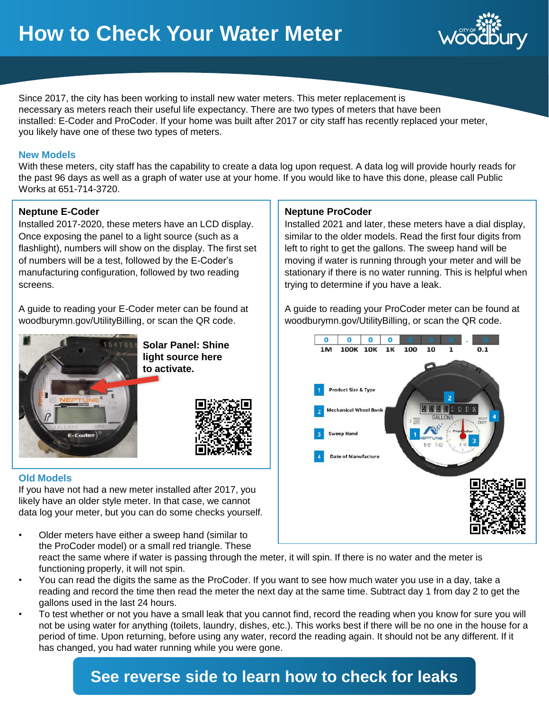

Since 2017, the city has been working to install new water meters. This meter replacement is necessary as meters reach their useful life expectancy. There are two types of meters that have been installed: E-Coder and ProCoder. If your home was built after 2017 or city staff has recently replaced your meter, you likely have one of these two types of meters.

#### **New Models**

With these meters, city staff has the capability to create a data log upon request. A data log will provide hourly reads for the past 96 days as well as a graph of water use at your home. If you would like to have this done, please call Public Works at 651-714-3720.

#### **Neptune E-Coder**

Installed 2017-2020, these meters have an LCD display. Once exposing the panel to a light source (such as a flashlight), numbers will show on the display. The first set of numbers will be a test, followed by the E-Coder's manufacturing configuration, followed by two reading screens.

A guide to reading your E-Coder meter can be found at woodburymn.gov/UtilityBilling, or scan the QR code.



**Solar Panel: Shine light source here to activate.**



#### **Old Models**

If you have not had a new meter installed after 2017, you likely have an older style meter. In that case, we cannot data log your meter, but you can do some checks yourself.

- Older meters have either a sweep hand (similar to the ProCoder model) or a small red triangle. These react the same where if water is passing through the meter, it will spin. If there is no water and the meter is functioning properly, it will not spin.
- You can read the digits the same as the ProCoder. If you want to see how much water you use in a day, take a reading and record the time then read the meter the next day at the same time. Subtract day 1 from day 2 to get the gallons used in the last 24 hours.
- To test whether or not you have a small leak that you cannot find, record the reading when you know for sure you will not be using water for anything (toilets, laundry, dishes, etc.). This works best if there will be no one in the house for a period of time. Upon returning, before using any water, record the reading again. It should not be any different. If it has changed, you had water running while you were gone.

# **See reverse side to learn how to check for leaks**

#### **Neptune ProCoder**

Installed 2021 and later, these meters have a dial display, similar to the older models. Read the first four digits from left to right to get the gallons. The sweep hand will be moving if water is running through your meter and will be stationary if there is no water running. This is helpful when trying to determine if you have a leak.

A guide to reading your ProCoder meter can be found at woodburymn.gov/UtilityBilling, or scan the QR code.